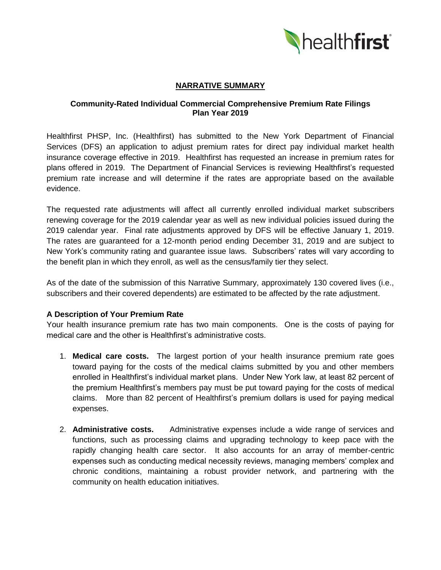

# **NARRATIVE SUMMARY**

### **Community-Rated Individual Commercial Comprehensive Premium Rate Filings Plan Year 2019**

Healthfirst PHSP, Inc. (Healthfirst) has submitted to the New York Department of Financial Services (DFS) an application to adjust premium rates for direct pay individual market health insurance coverage effective in 2019. Healthfirst has requested an increase in premium rates for plans offered in 2019. The Department of Financial Services is reviewing Healthfirst's requested premium rate increase and will determine if the rates are appropriate based on the available evidence.

The requested rate adjustments will affect all currently enrolled individual market subscribers renewing coverage for the 2019 calendar year as well as new individual policies issued during the 2019 calendar year. Final rate adjustments approved by DFS will be effective January 1, 2019. The rates are guaranteed for a 12-month period ending December 31, 2019 and are subject to New York's community rating and guarantee issue laws. Subscribers' rates will vary according to the benefit plan in which they enroll, as well as the census/family tier they select.

As of the date of the submission of this Narrative Summary, approximately 130 covered lives (i.e., subscribers and their covered dependents) are estimated to be affected by the rate adjustment.

### **A Description of Your Premium Rate**

Your health insurance premium rate has two main components. One is the costs of paying for medical care and the other is Healthfirst's administrative costs.

- 1. **Medical care costs.** The largest portion of your health insurance premium rate goes toward paying for the costs of the medical claims submitted by you and other members enrolled in Healthfirst's individual market plans. Under New York law, at least 82 percent of the premium Healthfirst's members pay must be put toward paying for the costs of medical claims. More than 82 percent of Healthfirst's premium dollars is used for paying medical expenses.
- 2. **Administrative costs.** Administrative expenses include a wide range of services and functions, such as processing claims and upgrading technology to keep pace with the rapidly changing health care sector. It also accounts for an array of member-centric expenses such as conducting medical necessity reviews, managing members' complex and chronic conditions, maintaining a robust provider network, and partnering with the community on health education initiatives.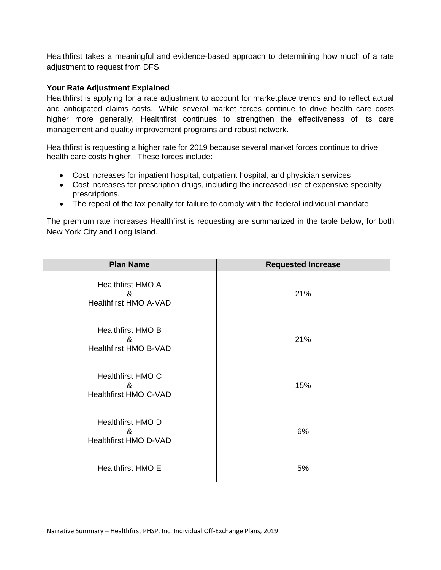Healthfirst takes a meaningful and evidence-based approach to determining how much of a rate adjustment to request from DFS.

## **Your Rate Adjustment Explained**

Healthfirst is applying for a rate adjustment to account for marketplace trends and to reflect actual and anticipated claims costs. While several market forces continue to drive health care costs higher more generally, Healthfirst continues to strengthen the effectiveness of its care management and quality improvement programs and robust network.

Healthfirst is requesting a higher rate for 2019 because several market forces continue to drive health care costs higher. These forces include:

- Cost increases for inpatient hospital, outpatient hospital, and physician services
- Cost increases for prescription drugs, including the increased use of expensive specialty prescriptions.
- The repeal of the tax penalty for failure to comply with the federal individual mandate

The premium rate increases Healthfirst is requesting are summarized in the table below, for both New York City and Long Island.

| <b>Plan Name</b>                                              | <b>Requested Increase</b> |
|---------------------------------------------------------------|---------------------------|
| <b>Healthfirst HMO A</b><br>&<br><b>Healthfirst HMO A-VAD</b> | 21%                       |
| <b>Healthfirst HMO B</b><br>&<br><b>Healthfirst HMO B-VAD</b> | 21%                       |
| Healthfirst HMO C<br>&<br><b>Healthfirst HMO C-VAD</b>        | 15%                       |
| <b>Healthfirst HMO D</b><br>&<br><b>Healthfirst HMO D-VAD</b> | 6%                        |
| <b>Healthfirst HMO E</b>                                      | 5%                        |